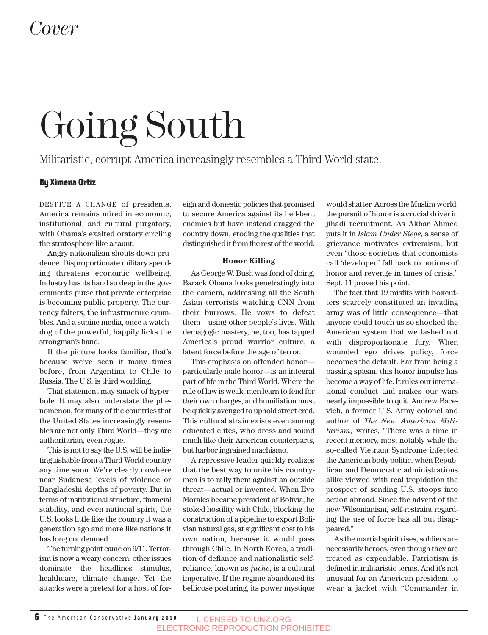# Going South

### Militaristic, corrupt America increasingly resembles a Third World state.

### By Ximena Ortiz

DESPITE A CHANGE of presidents, America remains mired in economic, institutional, and cultural purgatory, with Obama's exalted oratory circling the stratosphere like a taunt.

Angry nationalism shouts down prudence. Disproportionate military spending threatens economic wellbeing. Industry has its hand so deep in the government's purse that private enterprise is becoming public property. The currency falters, the infrastructure crumbles. And a supine media, once a watchdog of the powerful, happily licks the strongman's hand.

If the picture looks familiar, that's because we've seen it many times before, from Argentina to Chile to Russia. The U.S. is third worlding.

That statement may smack of hyperbole. It may also understate the phenomenon, for many of the countries that the United States increasingly resembles are not only Third World—they are authoritarian, even rogue.

This is not to say the U.S. will be indistinguishable from a Third World country any time soon. We're clearly nowhere near Sudanese levels of violence or Bangladeshi depths of poverty. But in terms of institutional structure, financial stability, and even national spirit, the U.S. looks little like the country it was a generation ago and more like nations it has long condemned.

The turning point came on 9/11. Terrorism is now a weary concern: other issues dominate the headlines—stimulus, healthcare, climate change. Yet the attacks were a pretext for a host of foreign and domestic policies that promised to secure America against its hell-bent enemies but have instead dragged the country down, eroding the qualities that distinguished it from the rest of the world.

### **Honor Killing**

As George W. Bush was fond of doing, Barack Obama looks penetratingly into the camera, addressing all the South Asian terrorists watching CNN from their burrows. He vows to defeat them—using other people's lives. With demagogic mastery, he, too, has tapped America's proud warrior culture, a latent force before the age of terror.

This emphasis on offended honor particularly male honor—is an integral part of life in the Third World. Where the rule of law is weak, men learn to fend for their own charges, and humiliation must be quickly avenged to uphold street cred. This cultural strain exists even among educated elites, who dress and sound much like their American counterparts, but harbor ingrained machismo.

A repressive leader quickly realizes that the best way to unite his countrymen is to rally them against an outside threat—actual or invented. When Evo Morales became president of Bolivia, he stoked hostility with Chile, blocking the construction of a pipeline to export Bolivian natural gas, at significant cost to his own nation, because it would pass through Chile. In North Korea, a tradition of defiance and nationalistic selfreliance, known as *juche*, is a cultural imperative. If the regime abandoned its bellicose posturing, its power mystique would shatter. Across the Muslim world, the pursuit of honor is a crucial driver in jihadi recruitment. As Akbar Ahmed puts it in *Islam Under Siege*, a sense of grievance motivates extremism, but even "those societies that economists call 'developed' fall back to notions of honor and revenge in times of crisis." Sept. 11 proved his point.

The fact that 19 misfits with boxcutters scarcely constituted an invading army was of little consequence—that anyone could touch us so shocked the American system that we lashed out with disproportionate fury. When wounded ego drives policy, force becomes the default. Far from being a passing spasm, this honor impulse has become a way of life. It rules our international conduct and makes our wars nearly impossible to quit. Andrew Bacevich, a former U.S. Army colonel and author of *The New American Militarism,* writes, "There was a time in recent memory, most notably while the so-called Vietnam Syndrome infected the American body politic, when Republican and Democratic administrations alike viewed with real trepidation the prospect of sending U.S. stoops into action abroad. Since the advent of the new Wilsonianism, self-restraint regarding the use of force has all but disappeared."

As the martial spirit rises, soldiers are necessarily heroes, even though they are treated as expendable. Patriotism is defined in militaristic terms. And it's not unusual for an American president to wear a jacket with "Commander in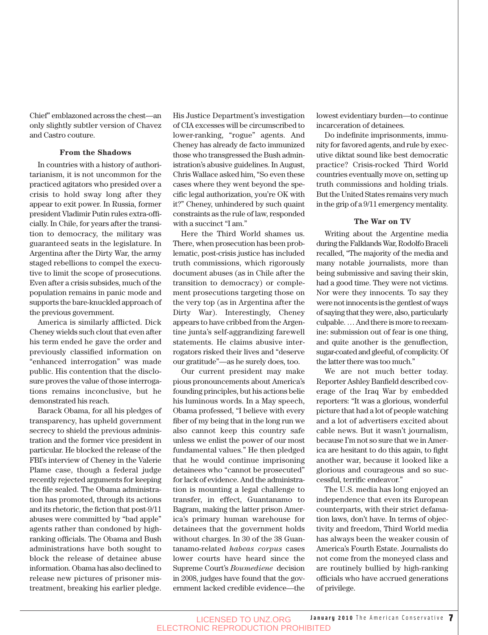Chief" emblazoned across the chest—an only slightly subtler version of Chavez and Castro couture.

### **From the Shadows**

In countries with a history of authoritarianism, it is not uncommon for the practiced agitators who presided over a crisis to hold sway long after they appear to exit power. In Russia, former president Vladimir Putin rules extra-officially. In Chile, for years after the transition to democracy, the military was guaranteed seats in the legislature. In Argentina after the Dirty War, the army staged rebellions to compel the executive to limit the scope of prosecutions. Even after a crisis subsides, much of the population remains in panic mode and supports the bare-knuckled approach of the previous government.

America is similarly afflicted. Dick Cheney wields such clout that even after his term ended he gave the order and previously classified information on "enhanced interrogation" was made public. His contention that the disclosure proves the value of those interrogations remains inconclusive, but he demonstrated his reach.

Barack Obama, for all his pledges of transparency, has upheld government secrecy to shield the previous administration and the former vice president in particular. He blocked the release of the FBI's interview of Cheney in the Valerie Plame case, though a federal judge recently rejected arguments for keeping the file sealed. The Obama administration has promoted, through its actions and its rhetoric, the fiction that post-9/11 abuses were committed by "bad apple" agents rather than condoned by highranking officials. The Obama and Bush administrations have both sought to block the release of detainee abuse information. Obama has also declined to release new pictures of prisoner mistreatment, breaking his earlier pledge. His Justice Department's investigation of CIA excesses will be circumscribed to lower-ranking, "rogue" agents. And Cheney has already de facto immunized those who transgressed the Bush administration's abusive guidelines. In August, Chris Wallace asked him, "So even these cases where they went beyond the specific legal authorization, you're OK with it?" Cheney, unhindered by such quaint constraints as the rule of law, responded with a succinct "I am."

Here the Third World shames us. There, when prosecution has been problematic, post-crisis justice has included truth commissions, which rigorously document abuses (as in Chile after the transition to democracy) or complement prosecutions targeting those on the very top (as in Argentina after the Dirty War). Interestingly, Cheney appears to have cribbed from the Argentine junta's self-aggrandizing farewell statements. He claims abusive interrogators risked their lives and "deserve our gratitude"—as he surely does, too.

Our current president may make pious pronouncements about America's founding principles, but his actions belie his luminous words. In a May speech, Obama professed, "I believe with every fiber of my being that in the long run we also cannot keep this country safe unless we enlist the power of our most fundamental values." He then pledged that he would continue imprisoning detainees who "cannot be prosecuted" for lack of evidence. And the administration is mounting a legal challenge to transfer, in effect, Guantanamo to Bagram, making the latter prison America's primary human warehouse for detainees that the government holds without charges. In 30 of the 38 Guantanamo-related *habeas corpus* cases lower courts have heard since the Supreme Court's *Boumediene* decision in 2008, judges have found that the government lacked credible evidence—the lowest evidentiary burden—to continue incarceration of detainees.

Do indefinite imprisonments, immunity for favored agents, and rule by executive diktat sound like best democratic practice? Crisis-rocked Third World countries eventually move on, setting up truth commissions and holding trials. But the United States remains very much in the grip of a 9/11 emergency mentality.

### **The War on TV**

Writing about the Argentine media during the Falklands War, Rodolfo Braceli recalled, "The majority of the media and many notable journalists, more than being submissive and saving their skin, had a good time. They were not victims. Nor were they innocents. To say they were not innocents is the gentlest of ways of saying that they were, also, particularly culpable. … And there is more to reexamine: submission out of fear is one thing, and quite another is the genuflection, sugar-coated and gleeful, of complicity. Of the latter there was too much."

We are not much better today. Reporter Ashley Banfield described coverage of the Iraq War by embedded reporters: "It was a glorious, wonderful picture that had a lot of people watching and a lot of advertisers excited about cable news. But it wasn't journalism, because I'm not so sure that we in America are hesitant to do this again, to fight another war, because it looked like a glorious and courageous and so successful, terrific endeavor."

The U.S. media has long enjoyed an independence that even its European counterparts, with their strict defamation laws, don't have. In terms of objectivity and freedom, Third World media has always been the weaker cousin of America's Fourth Estate. Journalists do not come from the moneyed class and are routinely bullied by high-ranking officials who have accrued generations of privilege.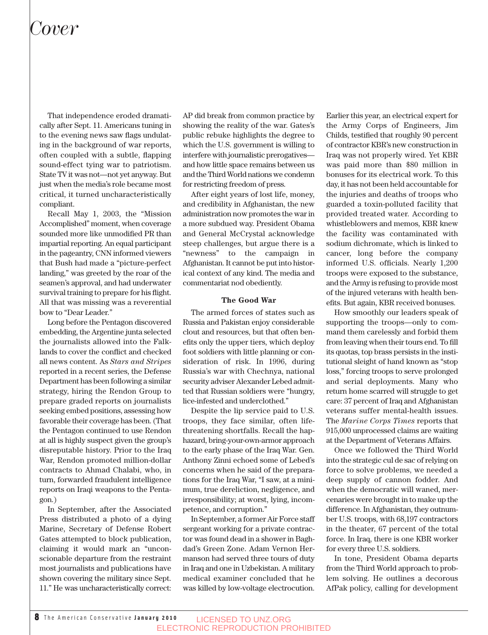### *Cover*

That independence eroded dramatically after Sept. 11. Americans tuning in to the evening news saw flags undulating in the background of war reports, often coupled with a subtle, flapping sound-effect tying war to patriotism. State TV it was not—not yet anyway. But just when the media's role became most critical, it turned uncharacteristically compliant.

Recall May 1, 2003, the "Mission Accomplished" moment, when coverage sounded more like unmodified PR than impartial reporting. An equal participant in the pageantry, CNN informed viewers that Bush had made a "picture-perfect landing," was greeted by the roar of the seamen's approval, and had underwater survival training to prepare for his flight. All that was missing was a reverential bow to "Dear Leader."

Long before the Pentagon discovered embedding, the Argentine junta selected the journalists allowed into the Falklands to cover the conflict and checked all news content. As *Stars and Stripes* reported in a recent series, the Defense Department has been following a similar strategy, hiring the Rendon Group to prepare graded reports on journalists seeking embed positions, assessing how favorable their coverage has been. (That the Pentagon continued to use Rendon at all is highly suspect given the group's disreputable history. Prior to the Iraq War, Rendon promoted million-dollar contracts to Ahmad Chalabi, who, in turn, forwarded fraudulent intelligence reports on Iraqi weapons to the Pentagon.)

In September, after the Associated Press distributed a photo of a dying Marine, Secretary of Defense Robert Gates attempted to block publication, claiming it would mark an "unconscionable departure from the restraint most journalists and publications have shown covering the military since Sept. 11." He was uncharacteristically correct:

AP did break from common practice by showing the reality of the war. Gates's public rebuke highlights the degree to which the U.S. government is willing to interfere with journalistic prerogatives and how little space remains between us and the Third World nations we condemn for restricting freedom of press.

After eight years of lost life, money, and credibility in Afghanistan, the new administration now promotes the war in a more subdued way. President Obama and General McCrystal acknowledge steep challenges, but argue there is a "newness" to the campaign in Afghanistan. It cannot be put into historical context of any kind. The media and commentariat nod obediently.

### **The Good War**

The armed forces of states such as Russia and Pakistan enjoy considerable clout and resources, but that often benefits only the upper tiers, which deploy foot soldiers with little planning or consideration of risk. In 1996, during Russia's war with Chechnya, national security adviser Alexander Lebed admitted that Russian soldiers were "hungry, lice-infested and underclothed."

Despite the lip service paid to U.S. troops, they face similar, often lifethreatening shortfalls. Recall the haphazard, bring-your-own-armor approach to the early phase of the Iraq War. Gen. Anthony Zinni echoed some of Lebed's concerns when he said of the preparations for the Iraq War, "I saw, at a minimum, true dereliction, negligence, and irresponsibility; at worst, lying, incompetence, and corruption."

In September, a former Air Force staff sergeant working for a private contractor was found dead in a shower in Baghdad's Green Zone. Adam Vernon Hermanson had served three tours of duty in Iraq and one in Uzbekistan. A military medical examiner concluded that he was killed by low-voltage electrocution.

Earlier this year, an electrical expert for the Army Corps of Engineers, Jim Childs, testified that roughly 90 percent of contractor KBR's new construction in Iraq was not properly wired. Yet KBR was paid more than \$80 million in bonuses for its electrical work. To this day, it has not been held accountable for the injuries and deaths of troops who guarded a toxin-polluted facility that provided treated water. According to whistleblowers and memos, KBR knew the facility was contaminated with sodium dichromate, which is linked to cancer, long before the company informed U.S. officials. Nearly 1,200 troops were exposed to the substance, and the Army is refusing to provide most of the injured veterans with health benefits. But again, KBR received bonuses.

How smoothly our leaders speak of supporting the troops—only to command them carelessly and forbid them from leaving when their tours end. To fill its quotas, top brass persists in the institutional sleight of hand known as "stop loss," forcing troops to serve prolonged and serial deployments. Many who return home scarred will struggle to get care: 37 percent of Iraq and Afghanistan veterans suffer mental-health issues. The *Marine Corps Times* reports that 915,000 unprocessed claims are waiting at the Department of Veterans Affairs.

Once we followed the Third World into the strategic cul de sac of relying on force to solve problems, we needed a deep supply of cannon fodder. And when the democratic will waned, mercenaries were brought in to make up the difference. In Afghanistan, they outnumber U.S. troops, with 68,197 contractors in the theater, 67 percent of the total force. In Iraq, there is one KBR worker for every three U.S. soldiers.

In tone, President Obama departs from the Third World approach to problem solving. He outlines a decorous AfPak policy, calling for development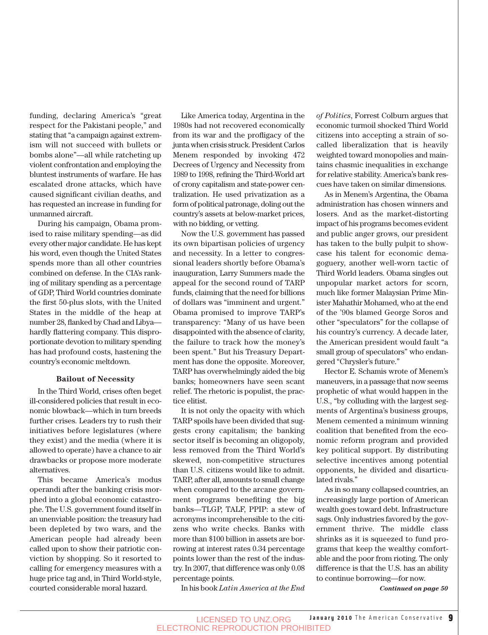funding, declaring America's "great respect for the Pakistani people," and stating that "a campaign against extremism will not succeed with bullets or bombs alone"—all while ratcheting up violent confrontation and employing the bluntest instruments of warfare. He has escalated drone attacks, which have caused significant civilian deaths, and has requested an increase in funding for unmanned aircraft.

During his campaign, Obama promised to raise military spending—as did every other major candidate. He has kept his word, even though the United States spends more than all other countries combined on defense. In the CIA's ranking of military spending as a percentage of GDP, Third World countries dominate the first 50-plus slots, with the United States in the middle of the heap at number 28, flanked by Chad and Libya hardly flattering company. This disproportionate devotion to military spending has had profound costs, hastening the country's economic meltdown.

#### **Bailout of Necessity**

In the Third World, crises often beget ill-considered policies that result in economic blowback—which in turn breeds further crises. Leaders try to rush their initiatives before legislatures (where they exist) and the media (where it is allowed to operate) have a chance to air drawbacks or propose more moderate alternatives.

This became America's modus operandi after the banking crisis morphed into a global economic catastrophe. The U.S. government found itself in an unenviable position: the treasury had been depleted by two wars, and the American people had already been called upon to show their patriotic conviction by shopping. So it resorted to calling for emergency measures with a huge price tag and, in Third World-style, courted considerable moral hazard.

Like America today, Argentina in the 1980s had not recovered economically from its war and the profligacy of the junta when crisis struck. President Carlos Menem responded by invoking 472 Decrees of Urgency and Necessity from 1989 to 1998, refining the Third-World art of crony capitalism and state-power centralization. He used privatization as a form of political patronage, doling out the country's assets at below-market prices, with no bidding, or vetting.

Now the U.S. government has passed its own bipartisan policies of urgency and necessity. In a letter to congressional leaders shortly before Obama's inauguration, Larry Summers made the appeal for the second round of TARP funds, claiming that the need for billions of dollars was "imminent and urgent." Obama promised to improve TARP's transparency: "Many of us have been disappointed with the absence of clarity, the failure to track how the money's been spent." But his Treasury Department has done the opposite. Moreover, TARP has overwhelmingly aided the big banks; homeowners have seen scant relief. The rhetoric is populist, the practice elitist.

It is not only the opacity with which TARP spoils have been divided that suggests crony capitalism; the banking sector itself is becoming an oligopoly, less removed from the Third World's skewed, non-competitive structures than U.S. citizens would like to admit. TARP, after all, amounts to small change when compared to the arcane government programs benefiting the big banks—TLGP, TALF, PPIP: a stew of acronyms incomprehensible to the citizens who write checks. Banks with more than \$100 billion in assets are borrowing at interest rates 0.34 percentage points lower than the rest of the industry. In 2007, that difference was only 0.08 percentage points.

In his book *Latin America at the End*

*of Politics*, Forrest Colburn argues that economic turmoil shocked Third World citizens into accepting a strain of socalled liberalization that is heavily weighted toward monopolies and maintains chasmic inequalities in exchange for relative stability. America's bank rescues have taken on similar dimensions.

As in Menem's Argentina, the Obama administration has chosen winners and losers. And as the market-distorting impact of his programs becomes evident and public anger grows, our president has taken to the bully pulpit to showcase his talent for economic demagoguery, another well-worn tactic of Third World leaders. Obama singles out unpopular market actors for scorn, much like former Malaysian Prime Minister Mahathir Mohamed, who at the end of the '90s blamed George Soros and other "speculators" for the collapse of his country's currency. A decade later, the American president would fault "a small group of speculators" who endangered "Chrysler's future."

Hector E. Schamis wrote of Menem's maneuvers, in a passage that now seems prophetic of what would happen in the U.S., "by colluding with the largest segments of Argentina's business groups, Menem cemented a minimum winning coalition that benefited from the economic reform program and provided key political support. By distributing selective incentives among potential opponents, he divided and disarticulated rivals."

As in so many collapsed countries, an increasingly large portion of American wealth goes toward debt. Infrastructure sags. Only industries favored by the government thrive. The middle class shrinks as it is squeezed to fund programs that keep the wealthy comfortable and the poor from rioting. The only difference is that the U.S. has an ability to continue borrowing—for now.

*Continued on page 50*